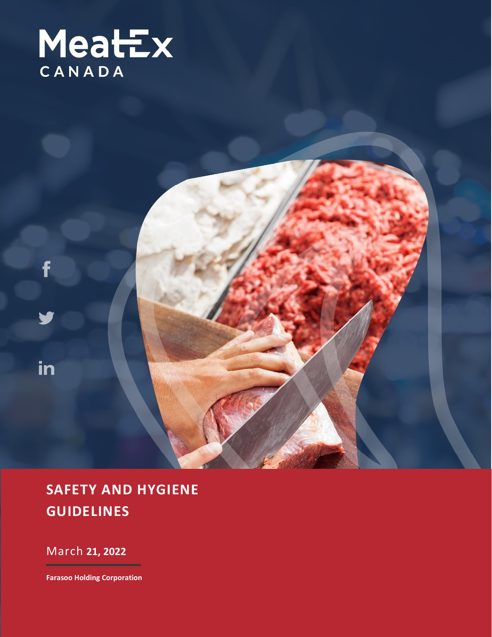

## **SAFETY AND HYGIENE GUIDELINES**

March **21, 2022**

f

in

**Farasoo Holding Corporation**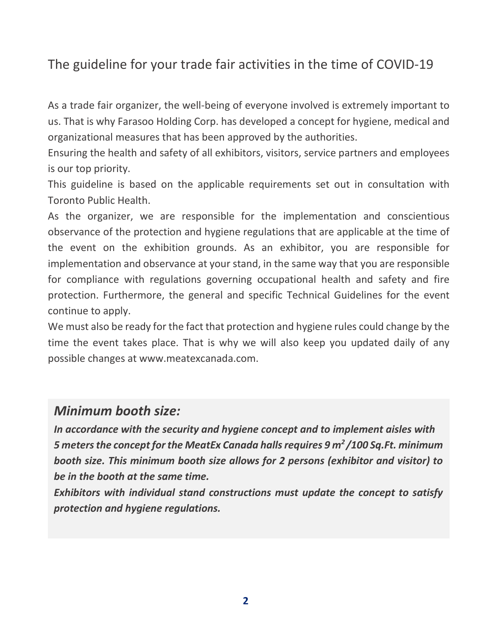## The guideline for your trade fair activities in the time of COVID-19

As a trade fair organizer, the well-being of everyone involved is extremely important to us. That is why Farasoo Holding Corp. has developed a concept for hygiene, medical and organizational measures that has been approved by the authorities.

Ensuring the health and safety of all exhibitors, visitors, service partners and employees is our top priority.

This guideline is based on the applicable requirements set out in consultation with Toronto Public Health.

As the organizer, we are responsible for the implementation and conscientious observance of the protection and hygiene regulations that are applicable at the time of the event on the exhibition grounds. As an exhibitor, you are responsible for implementation and observance at your stand, in the same way that you are responsible for compliance with regulations governing occupational health and safety and fire protection. Furthermore, the general and specific Technical Guidelines for the event continue to apply.

We must also be ready for the fact that protection and hygiene rules could change by the time the event takes place. That is why we will also keep you updated daily of any possible changes at www.meatexcanada.com.

## *Minimum booth size:*

*In accordance with the security and hygiene concept and to implement aisles with 5 meters the concept for the MeatEx Canada halls requires 9 m2 /100 Sq.Ft. minimum booth size. This minimum booth size allows for 2 persons (exhibitor and visitor) to be in the booth at the same time.* 

*Exhibitors with individual stand constructions must update the concept to satisfy protection and hygiene regulations.*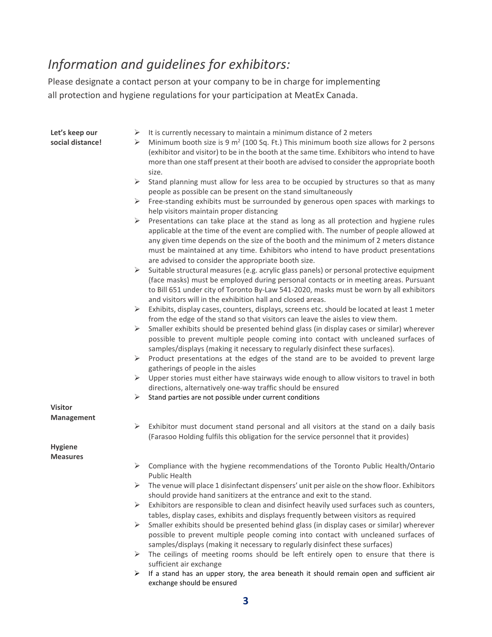## *Information and guidelines for exhibitors:*

Please designate a contact person at your company to be in charge for implementing all protection and hygiene regulations for your participation at MeatEx Canada.

| Let's keep our   |  |
|------------------|--|
| social distance! |  |

- $\triangleright$  It is currently necessary to maintain a minimum distance of 2 meters
- Minimum booth size is 9 m<sup>2</sup> (100 Sq. Ft.) This minimum booth size allows for 2 persons (exhibitor and visitor) to be in the booth at the same time. Exhibitors who intend to have more than one staff present at their booth are advised to consider the appropriate booth size.
- $\triangleright$  Stand planning must allow for less area to be occupied by structures so that as many people as possible can be present on the stand simultaneously
- $\triangleright$  Free-standing exhibits must be surrounded by generous open spaces with markings to help visitors maintain proper distancing
- $\triangleright$  Presentations can take place at the stand as long as all protection and hygiene rules applicable at the time of the event are complied with. The number of people allowed at any given time depends on the size of the booth and the minimum of 2 meters distance must be maintained at any time. Exhibitors who intend to have product presentations are advised to consider the appropriate booth size.
- $\triangleright$  Suitable structural measures (e.g. acrylic glass panels) or personal protective equipment (face masks)must be employed during personal contacts or in meeting areas. Pursuant to Bill 651 under city of Toronto By-Law 541-2020, masks must be worn by all exhibitors and visitors will in the exhibition hall and closed areas.
- $\triangleright$  Exhibits, display cases, counters, displays, screens etc. should be located at least 1 meter from the edge of the stand so that visitors can leave the aisles to view them.
- $\triangleright$  Smaller exhibits should be presented behind glass (in display cases or similar) wherever possible to prevent multiple people coming into contact with uncleaned surfaces of samples/displays (making it necessary to regularly disinfect these surfaces).
- $\triangleright$  Product presentations at the edges of the stand are to be avoided to prevent large gatherings of people in the aisles
- $\triangleright$  Upper stories must either have stairways wide enough to allow visitors to travel in both directions, alternatively one-way traffic should be ensured
- $\triangleright$  Stand parties are not possible under current conditions

**Visitor Management**

**Hygiene**

**Measures**

 $\triangleright$  Exhibitor must document stand personal and all visitors at the stand on a daily basis (Farasoo Holding fulfils this obligation for the service personnel that it provides)

- $\triangleright$  Compliance with the hygiene recommendations of the Toronto Public Health/Ontario Public Health
- $\triangleright$  The venue will place 1 disinfectant dispensers' unit per aisle on the show floor. Exhibitors should provide hand sanitizers at the entrance and exit to the stand.
- $\triangleright$  Exhibitors are responsible to clean and disinfect heavily used surfaces such as counters, tables, display cases, exhibits and displays frequently between visitors as required
- $\triangleright$  Smaller exhibits should be presented behind glass (in display cases or similar) wherever possible to prevent multiple people coming into contact with uncleaned surfaces of samples/displays (making it necessary to regularly disinfect these surfaces)
- $\triangleright$  The ceilings of meeting rooms should be left entirely open to ensure that there is sufficient air exchange
- $\triangleright$  If a stand has an upper story, the area beneath it should remain open and sufficient air exchange should be ensured